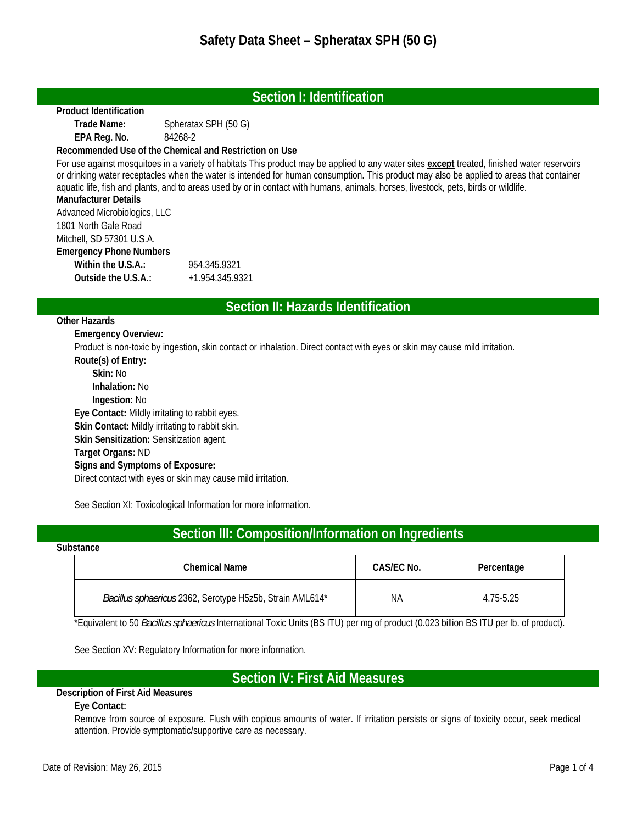## **Section I: Identification**

#### **Product Identification**

 **Trade Name:** Spheratax SPH (50 G)  **EPA Reg. No.** 84268-2

#### **Recommended Use of the Chemical and Restriction on Use**

For use against mosquitoes in a variety of habitats This product may be applied to any water sites **except** treated, finished water reservoirs or drinking water receptacles when the water is intended for human consumption. This product may also be applied to areas that container aquatic life, fish and plants, and to areas used by or in contact with humans, animals, horses, livestock, pets, birds or wildlife. **Manufacturer Details** 

Advanced Microbiologics, LLC 1801 North Gale Road Mitchell, SD 57301 U.S.A. **Emergency Phone Numbers Within the U.S.A.:** 954.345.9321 **Outside the U.S.A.:** +1.954.345.9321

## **Section II: Hazards Identification**

#### **Other Hazards**

 **Emergency Overview:** 

Product is non-toxic by ingestion, skin contact or inhalation. Direct contact with eyes or skin may cause mild irritation.

 **Route(s) of Entry: Skin:** No  **Inhalation:** No  **Ingestion:** No  **Eye Contact:** Mildly irritating to rabbit eyes.  **Skin Contact:** Mildly irritating to rabbit skin.  **Skin Sensitization:** Sensitization agent.  **Target Organs:** ND  **Signs and Symptoms of Exposure:**  Direct contact with eyes or skin may cause mild irritation.

See Section XI: Toxicological Information for more information.

# **Section III: Composition/Information on Ingredients**

#### **Substance**

| Chemical Name                                            | CAS/EC No. | Percentage |
|----------------------------------------------------------|------------|------------|
| Bacillus sphaericus 2362, Serotype H5z5b, Strain AML614* | ΝA         | 4.75-5.25  |

\*Equivalent to 50 *Bacillus sphaericus* International Toxic Units (BS ITU) per mg of product (0.023 billion BS ITU per lb. of product).

See Section XV: Regulatory Information for more information.

# **Section IV: First Aid Measures**

## **Description of First Aid Measures**

## **Eye Contact:**

Remove from source of exposure. Flush with copious amounts of water. If irritation persists or signs of toxicity occur, seek medical attention. Provide symptomatic/supportive care as necessary.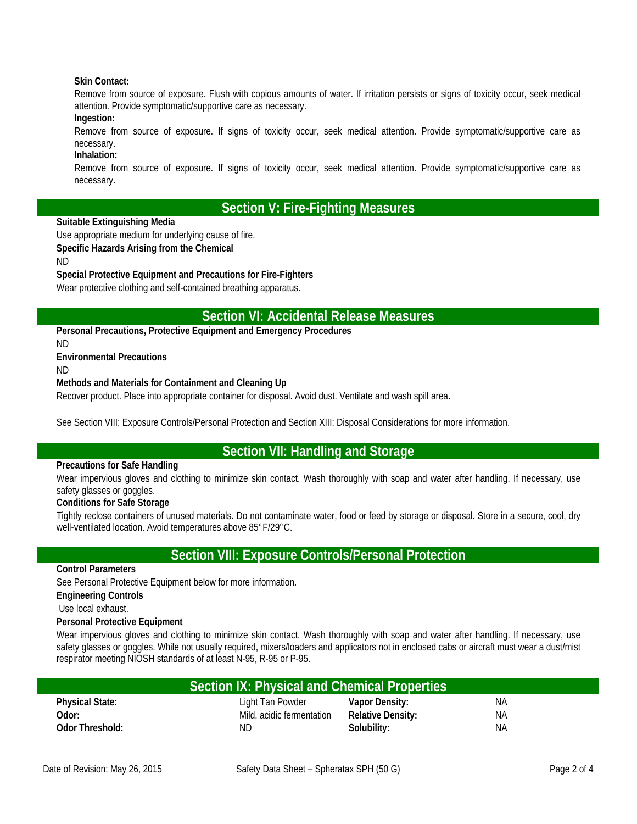#### **Skin Contact:**

Remove from source of exposure. Flush with copious amounts of water. If irritation persists or signs of toxicity occur, seek medical attention. Provide symptomatic/supportive care as necessary.

### **Ingestion:**

Remove from source of exposure. If signs of toxicity occur, seek medical attention. Provide symptomatic/supportive care as necessary.

### **Inhalation:**

Remove from source of exposure. If signs of toxicity occur, seek medical attention. Provide symptomatic/supportive care as necessary.

# **Section V: Fire-Fighting Measures**

#### **Suitable Extinguishing Media**

Use appropriate medium for underlying cause of fire.

#### **Specific Hazards Arising from the Chemical**

ND

#### **Special Protective Equipment and Precautions for Fire-Fighters**

Wear protective clothing and self-contained breathing apparatus.

## **Section VI: Accidental Release Measures**

**Personal Precautions, Protective Equipment and Emergency Procedures** 

### **Environmental Precautions**

ND

ND

#### **Methods and Materials for Containment and Cleaning Up**

Recover product. Place into appropriate container for disposal. Avoid dust. Ventilate and wash spill area.

See Section VIII: Exposure Controls/Personal Protection and Section XIII: Disposal Considerations for more information.

# **Section VII: Handling and Storage**

#### **Precautions for Safe Handling**

Wear impervious gloves and clothing to minimize skin contact. Wash thoroughly with soap and water after handling. If necessary, use safety glasses or goggles.

#### **Conditions for Safe Storage**

Tightly reclose containers of unused materials. Do not contaminate water, food or feed by storage or disposal. Store in a secure, cool, dry well-ventilated location. Avoid temperatures above 85°F/29°C.

## **Section VIII: Exposure Controls/Personal Protection**

#### **Control Parameters**

See Personal Protective Equipment below for more information.

**Engineering Controls** 

Use local exhaust.

#### **Personal Protective Equipment**

Wear impervious gloves and clothing to minimize skin contact. Wash thoroughly with soap and water after handling. If necessary, use safety glasses or goggles. While not usually required, mixers/loaders and applicators not in enclosed cabs or aircraft must wear a dust/mist respirator meeting NIOSH standards of at least N-95, R-95 or P-95.

| Section IX: Physical and Chemical Properties |                           |                          |    |  |
|----------------------------------------------|---------------------------|--------------------------|----|--|
| <b>Physical State:</b>                       | Light Tan Powder          | Vapor Density:           | ΝA |  |
| Odor:                                        | Mild, acidic fermentation | <b>Relative Density:</b> | ΝA |  |
| Odor Threshold:                              | ΝD                        | Solubility:              | ΝA |  |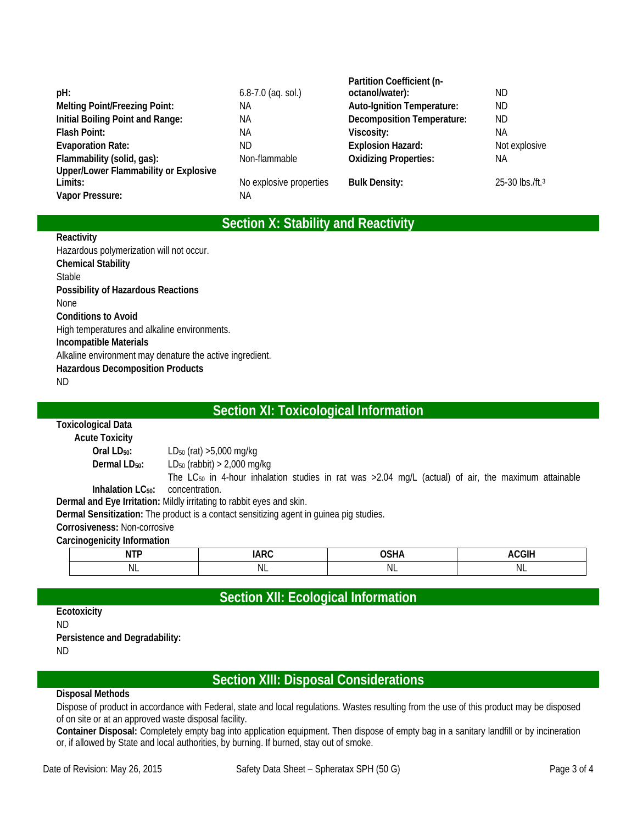|                                              |                         | Partition Coefficient (n-         |                                    |
|----------------------------------------------|-------------------------|-----------------------------------|------------------------------------|
| pH:                                          | $6.8 - 7.0$ (aq. sol.)  | octanol/water):                   | ND.                                |
| <b>Melting Point/Freezing Point:</b>         | ΝA                      | <b>Auto-Ignition Temperature:</b> | ND.                                |
| Initial Boiling Point and Range:             | NА                      | <b>Decomposition Temperature:</b> | ND.                                |
| <b>Flash Point:</b>                          | ΝA                      | Viscosity:                        | NА                                 |
| <b>Evaporation Rate:</b>                     | ND.                     | <b>Explosion Hazard:</b>          | Not explosive                      |
| Flammability (solid, gas):                   | Non-flammable           | <b>Oxidizing Properties:</b>      | NА                                 |
| <b>Upper/Lower Flammability or Explosive</b> |                         |                                   |                                    |
| Limits:                                      | No explosive properties | <b>Bulk Density:</b>              | 25-30 $\rm{lbs}$ /ft. <sup>3</sup> |
| Vapor Pressure:                              | ΝA                      |                                   |                                    |
|                                              |                         |                                   |                                    |

# **Section X: Stability and Reactivity**

#### **Reactivity**

Hazardous polymerization will not occur. **Chemical Stability**  Stable **Possibility of Hazardous Reactions**  None **Conditions to Avoid**  High temperatures and alkaline environments. **Incompatible Materials**  Alkaline environment may denature the active ingredient. **Hazardous Decomposition Products**  ND

## **Section XI: Toxicological Information**

#### **Toxicological Data Acute Toxicity Oral LD<sub>50</sub>:** LD<sub>50</sub> (rat) >5,000 mg/kg **Dermal LD<sub>50</sub>:** LD<sub>50</sub> (rabbit) > 2,000 mg/kg **Inhalation LC<sub>50</sub>:** The LC<sub>50</sub> in 4-hour inhalation studies in rat was  $>2.04$  mg/L (actual) of air, the maximum attainable concentration.

**Dermal and Eye Irritation:** Mildly irritating to rabbit eyes and skin.

**Dermal Sensitization:** The product is a contact sensitizing agent in guinea pig studies.

#### **Corrosiveness:** Non-corrosive

#### **Carcinogenicity Information**

| $\sim$<br>N |          |         |     |
|-------------|----------|---------|-----|
| ΝL          | M<br>. . | ΝI<br>. | 'NL |

# **Section XII: Ecological Information**

#### **Ecotoxicity**  ND **Persistence and Degradability:**  ND

# **Section XIII: Disposal Considerations**

#### **Disposal Methods**

Dispose of product in accordance with Federal, state and local regulations. Wastes resulting from the use of this product may be disposed of on site or at an approved waste disposal facility.

**Container Disposal:** Completely empty bag into application equipment. Then dispose of empty bag in a sanitary landfill or by incineration or, if allowed by State and local authorities, by burning. If burned, stay out of smoke.